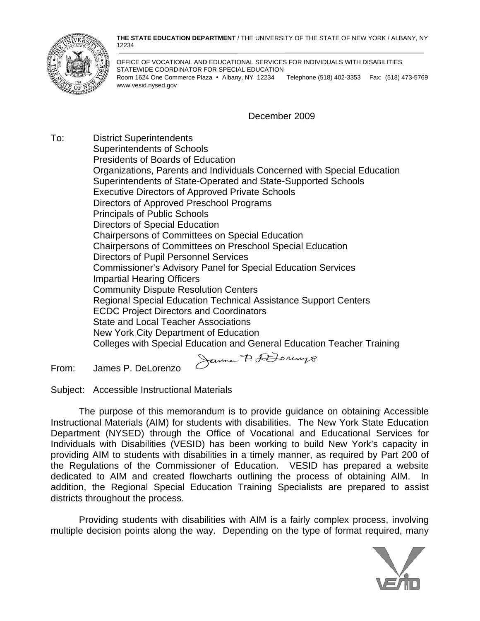**THE STATE EDUCATION DEPARTMENT** / THE UNIVERSITY OF THE STATE OF NEW YORK / ALBANY, NY 12234



OFFICE OF VOCATIONAL AND EDUCATIONAL SERVICES FOR INDIVIDUALS WITH DISABILITIES STATEWIDE COORDINATOR FOR SPECIAL EDUCATION Room 1624 One Commerce Plaza • Albany, NY 12234 Telephone (518) 402-3353 Fax: (518) 473-5769 www.vesid.nysed.gov

December 2009

To: District Superintendents Superintendents of Schools Presidents of Boards of Education Organizations, Parents and Individuals Concerned with Special Education Superintendents of State-Operated and State-Supported Schools Executive Directors of Approved Private Schools Directors of Approved Preschool Programs Principals of Public Schools Directors of Special Education Chairpersons of Committees on Special Education Chairpersons of Committees on Preschool Special Education Directors of Pupil Personnel Services Commissioner's Advisory Panel for Special Education Services Impartial Hearing Officers Community Dispute Resolution Centers Regional Special Education Technical Assistance Support Centers ECDC Project Directors and Coordinators State and Local Teacher Associations New York City Department of Education Colleges with Special Education and General Education Teacher Training Janne P. DJonnys

From: James P. DeLorenzo

Subject: Accessible Instructional Materials

 The purpose of this memorandum is to provide guidance on obtaining Accessible Instructional Materials (AIM) for students with disabilities. The New York State Education Department (NYSED) through the Office of Vocational and Educational Services for Individuals with Disabilities (VESID) has been working to build New York's capacity in providing AIM to students with disabilities in a timely manner, as required by Part 200 of the Regulations of the Commissioner of Education. VESID has prepared a website dedicated to AIM and created flowcharts outlining the process of obtaining AIM. In addition, the Regional Special Education Training Specialists are prepared to assist districts throughout the process.

 Providing students with disabilities with AIM is a fairly complex process, involving multiple decision points along the way. Depending on the type of format required, many

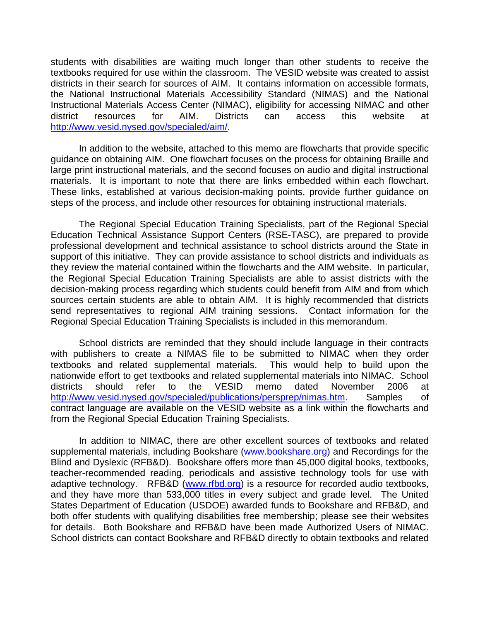students with disabilities are waiting much longer than other students to receive the textbooks required for use within the classroom. The VESID website was created to assist districts in their search for sources of AIM. It contains information on accessible formats, the National Instructional Materials Accessibility Standard (NIMAS) and the National Instructional Materials Access Center (NIMAC), eligibility for accessing NIMAC and other district resources for AIM. Districts can access this website at <http://www.vesid.nysed.gov/specialed/aim/>.

 In addition to the website, attached to this memo are flowcharts that provide specific guidance on obtaining AIM. One flowchart focuses on the process for obtaining Braille and large print instructional materials, and the second focuses on audio and digital instructional materials. It is important to note that there are links embedded within each flowchart. These links, established at various decision-making points, provide further guidance on steps of the process, and include other resources for obtaining instructional materials.

 The Regional Special Education Training Specialists, part of the Regional Special Education Technical Assistance Support Centers (RSE-TASC), are prepared to provide professional development and technical assistance to school districts around the State in support of this initiative. They can provide assistance to school districts and individuals as they review the material contained within the flowcharts and the AIM website. In particular, the Regional Special Education Training Specialists are able to assist districts with the decision-making process regarding which students could benefit from AIM and from which sources certain students are able to obtain AIM. It is highly recommended that districts send representatives to regional AIM training sessions. Contact information for the Regional Special Education Training Specialists is included in this memorandum.

 School districts are reminded that they should include language in their contracts with publishers to create a NIMAS file to be submitted to NIMAC when they order textbooks and related supplemental materials. This would help to build upon the nationwide effort to get textbooks and related supplemental materials into NIMAC. School districts should refer to the VESID memo dated November 2006 at <http://www.vesid.nysed.gov/specialed/publications/persprep/nimas.htm>. Samples of contract language are available on the VESID website as a link within the flowcharts and from the Regional Special Education Training Specialists.

 In addition to NIMAC, there are other excellent sources of textbooks and related supplemental materials, including Bookshare [\(www.bookshare.org](http://www.bookshare.org/)) and Recordings for the Blind and Dyslexic (RFB&D). Bookshare offers more than 45,000 digital books, textbooks, teacher-recommended reading, periodicals and assistive technology tools for use with adaptive technology. RFB&D ([www.rfbd.org](http://www.rfbd.org/)) is a resource for recorded audio textbooks, and they have more than 533,000 titles in every subject and grade level. The United States Department of Education (USDOE) awarded funds to Bookshare and RFB&D, and both offer students with qualifying disabilities free membership; please see their websites for details. Both Bookshare and RFB&D have been made Authorized Users of NIMAC. School districts can contact Bookshare and RFB&D directly to obtain textbooks and related